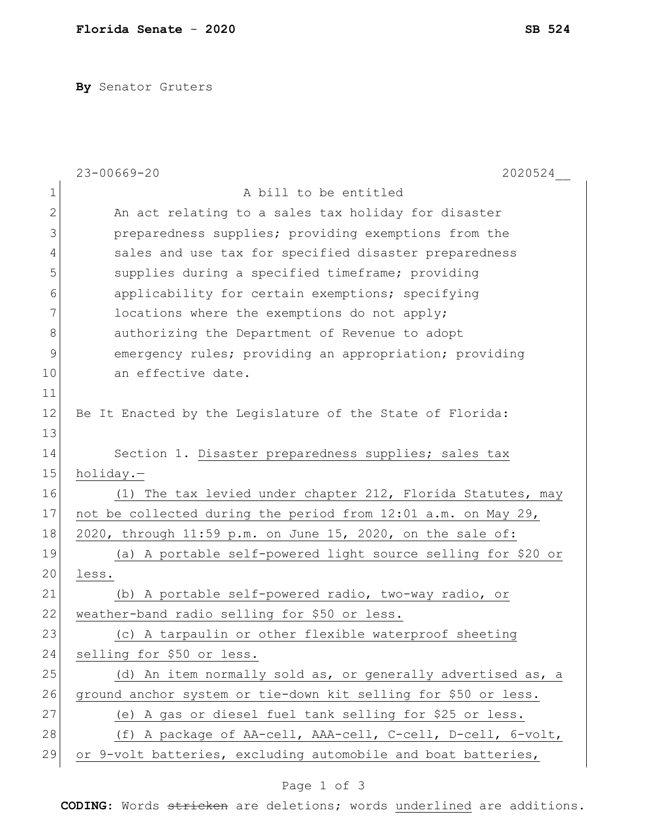**By** Senator Gruters

|              | $23 - 00669 - 20$<br>2020524                                   |
|--------------|----------------------------------------------------------------|
| $\mathbf 1$  | A bill to be entitled                                          |
| $\mathbf{2}$ | An act relating to a sales tax holiday for disaster            |
| 3            | preparedness supplies; providing exemptions from the           |
| 4            | sales and use tax for specified disaster preparedness          |
| 5            | supplies during a specified timeframe; providing               |
| 6            | applicability for certain exemptions; specifying               |
| 7            | locations where the exemptions do not apply;                   |
| $8\,$        | authorizing the Department of Revenue to adopt                 |
| $\mathsf 9$  | emergency rules; providing an appropriation; providing         |
| 10           | an effective date.                                             |
| 11           |                                                                |
| 12           | Be It Enacted by the Legislature of the State of Florida:      |
| 13           |                                                                |
| 14           | Section 1. Disaster preparedness supplies; sales tax           |
| 15           | holiday.-                                                      |
| 16           | (1) The tax levied under chapter 212, Florida Statutes, may    |
| 17           | not be collected during the period from 12:01 a.m. on May 29,  |
| 18           | 2020, through 11:59 p.m. on June 15, 2020, on the sale of:     |
| 19           | (a) A portable self-powered light source selling for \$20 or   |
| 20           | less.                                                          |
| 21           | (b) A portable self-powered radio, two-way radio, or           |
| 22           | weather-band radio selling for \$50 or less.                   |
| 23           | (c) A tarpaulin or other flexible waterproof sheeting          |
| 24           | selling for \$50 or less.                                      |
| 25           | (d) An item normally sold as, or generally advertised as, a    |
| 26           | ground anchor system or tie-down kit selling for \$50 or less. |
| 27           | (e) A gas or diesel fuel tank selling for \$25 or less.        |
| 28           | (f) A package of AA-cell, AAA-cell, C-cell, D-cell, 6-volt,    |
| 29           | or 9-volt batteries, excluding automobile and boat batteries,  |

## Page 1 of 3

**CODING**: Words stricken are deletions; words underlined are additions.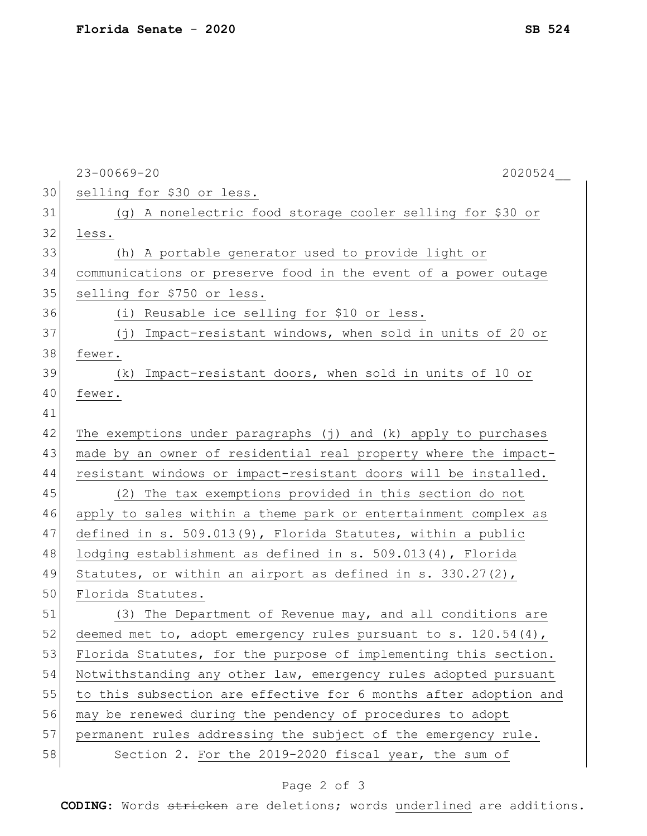|    | $23 - 00669 - 20$<br>2020524                                     |
|----|------------------------------------------------------------------|
| 30 | selling for \$30 or less.                                        |
| 31 | (g) A nonelectric food storage cooler selling for \$30 or        |
| 32 | less.                                                            |
| 33 | (h) A portable generator used to provide light or                |
| 34 | communications or preserve food in the event of a power outage   |
| 35 | selling for \$750 or less.                                       |
| 36 | Reusable ice selling for \$10 or less.<br>(i)                    |
| 37 | Impact-resistant windows, when sold in units of 20 or<br>( 广 )   |
| 38 | fewer.                                                           |
| 39 | (k) Impact-resistant doors, when sold in units of 10 or          |
| 40 | fewer.                                                           |
| 41 |                                                                  |
| 42 | The exemptions under paragraphs (j) and (k) apply to purchases   |
| 43 | made by an owner of residential real property where the impact-  |
| 44 | resistant windows or impact-resistant doors will be installed.   |
| 45 | (2) The tax exemptions provided in this section do not           |
| 46 | apply to sales within a theme park or entertainment complex as   |
| 47 | defined in s. $509.013(9)$ , Florida Statutes, within a public   |
| 48 | lodging establishment as defined in $s. 509.013(4)$ , Florida    |
| 49 | Statutes, or within an airport as defined in s. $330.27(2)$ ,    |
| 50 | Florida Statutes.                                                |
| 51 | (3) The Department of Revenue may, and all conditions are        |
| 52 | deemed met to, adopt emergency rules pursuant to s. 120.54(4),   |
| 53 | Florida Statutes, for the purpose of implementing this section.  |
| 54 | Notwithstanding any other law, emergency rules adopted pursuant  |
| 55 | to this subsection are effective for 6 months after adoption and |
| 56 | may be renewed during the pendency of procedures to adopt        |
| 57 | permanent rules addressing the subject of the emergency rule.    |
| 58 | Section 2. For the 2019-2020 fiscal year, the sum of             |

## Page 2 of 3

**CODING**: Words stricken are deletions; words underlined are additions.